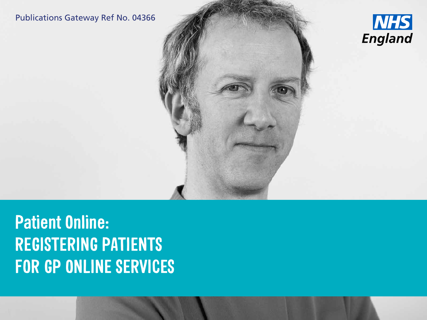### Publications Gateway Ref No. 04366





**Patient Online: REGISTERING PATIENTS FOR GP ONLINE SERVICES**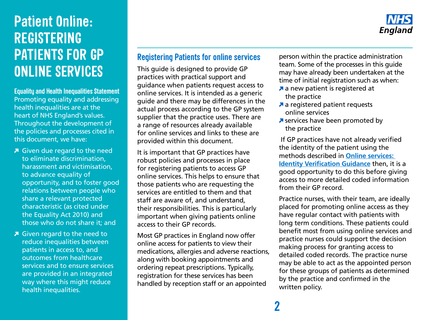

**Equality and Health Inequalities Statement** Promoting equality and addressing health inequalities are at the heart of NHS England's values. Throughout the development of the policies and processes cited in this document, we have:

- Given due regard to the need to eliminate discrimination, harassment and victimisation, to advance equality of opportunity, and to foster good relations between people who share a relevant protected characteristic (as cited under the Equality Act 2010) and those who do not share it; and
- Given regard to the need to reduce inequalities between patients in access to, and outcomes from healthcare services and to ensure services are provided in an integrated way where this might reduce health inequalities.

### **Registering Patients for online services**

This guide is designed to provide GP practices with practical support and guidance when patients request access to online services. It is intended as a generic guide and there may be differences in the actual process according to the GP system supplier that the practice uses. There are a range of resources already available for online services and links to these are provided within this document.

It is important that GP practices have robust policies and processes in place for registering patients to access GP online services. This helps to ensure that those patients who are requesting the services are entitled to them and that staff are aware of, and understand, their responsibilities. This is particularly important when giving patients online access to their GP records.

Most GP practices in England now offer online access for patients to view their medications, allergies and adverse reactions, along with booking appointments and ordering repeat prescriptions. Typically, registration for these services has been handled by reception staff or an appointed

person within the practice administration team. Some of the processes in this guide may have already been undertaken at the time of initial registration such as when:

- **a** new patient is registered at the practice
- a registered patient requests online services
- **A** services have been promoted by the practice

 If GP practices have not already verified the identity of the patient using the methods described in **[Online services:](http://elearning.rcgp.org.uk/course/view.php?id=180§ion=1)  [Identity Verification Guidance](http://elearning.rcgp.org.uk/course/view.php?id=180§ion=1)** then, it is a good opportunity to do this before giving access to more detailed coded information from their GP record.

Practice nurses, with their team, are ideally placed for promoting online access as they have regular contact with patients with long term conditions. These patients could benefit most from using online services and practice nurses could support the decision making process for granting access to detailed coded records. The practice nurse may be able to act as the appointed person for these groups of patients as determined by the practice and confirmed in the written policy.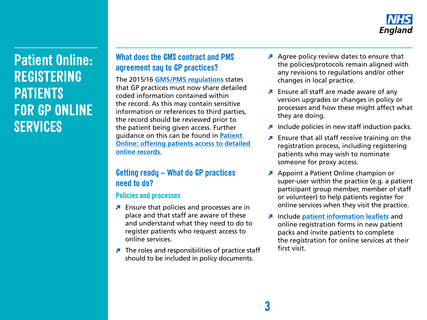

### **What does the GMS contract and PMS agreement say to GP practices?**

The 2015/16 **[GMS/PMS regulations](http://www.nhsemployers.org/~/media/Employers/Documents/Primary%20care%20contracts/GMS/Other%20GMS%20related%20Documents%20and%20Directions/2015-16/201516%20General%20Medical%20Services%20Regulations.pdf)** states that GP practices must now share detailed coded information contained within the record. As this may contain sensitive information or references to third parties, the record should be reviewed prior to the patient being given access. Further guidance on this can be found in **[Patient](https://www.england.nhs.uk/wp-content/uploads/2015/11/po-offering-patient-access-detailed-online-records.pdf)  [Online: offering patients access to detailed](https://www.england.nhs.uk/wp-content/uploads/2015/11/po-offering-patient-access-detailed-online-records.pdf)  [online records](https://www.england.nhs.uk/wp-content/uploads/2015/11/po-offering-patient-access-detailed-online-records.pdf)**.

### **Getting ready – What do GP practices need to do?**

#### **Policies and processes**

- **Ensure that policies and processes are in** place and that staff are aware of these and understand what they need to do to register patients who request access to online services.
- The roles and responsibilities of practice staff should to be included in policy documents.
- A Agree policy review dates to ensure that the policies/protocols remain aligned with any revisions to regulations and/or other changes in local practice.
- **A** Ensure all staff are made aware of any version upgrades or changes in policy or processes and how these might affect what they are doing.
- Include policies in new staff induction packs.
- **Ensure that all staff receive training on the** registration process, including registering patients who may wish to nominate someone for proxy access.
- Appoint a Patient Online champion or super-user within the practice (e.g. a patient participant group member, member of staff or volunteer) to help patients register for online services when they visit the practice.
- Include **[patient information leaflets](http://elearning.rcgp.org.uk/pluginfile.php/74126/mod_folder/content/0/PatientOnline-Records_access-Patient_information_leaflet.docx)** and online registration forms in new patient packs and invite patients to complete the registration for online services at their first visit.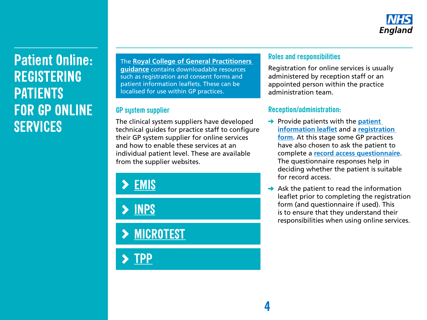

The **[Royal College of General Practitioners](http://www.elearning.rcgp.org.uk/patientonline)  guidance** contains downloadable resources such as registration and consent forms and patient information leaflets. These can be localised for use within GP practices.

#### **GP system supplier**

The clinical system suppliers have developed technical guides for practice staff to configure their GP system supplier for online services and how to enable these services at an individual patient level. These are available from the supplier websites.

**[EMIS](https://www.emishealth.com/products/patient-access/)**

**[INPS](http://www.inps.co.uk/my-vision/user-guides-downloads/user-guides/vision-online-services-user-guides)**

**[MICROTEST](http://www.microtest.co.uk/the-waiting-room/)** 

**[TPP](http://www.tpp-uk.com/products/systmonline)**

#### **Roles and responsibilities**

Registration for online services is usually administered by reception staff or an appointed person within the practice administration team.

#### **Reception/administration:**

**4**

- **→ Provide patients with the patient [information leaflet](https://www.england.nhs.uk/ourwork/pe/patient-online/support/patient-material/)** and a **[registration](http://elearning.rcgp.org.uk/pluginfile.php/74126/mod_folder/content/0/PatientOnline-Example_registration_form.docx)  [form](http://elearning.rcgp.org.uk/pluginfile.php/74126/mod_folder/content/0/PatientOnline-Example_registration_form.docx)**. At this stage some GP practices have also chosen to ask the patient to complete a **[record access questionnaire](https://www.england.nhs.uk/wp-content/uploads/2015/11/po-questionnaire-online-access.pdf)**. The questionnaire responses help in deciding whether the patient is suitable for record access.
- $\rightarrow$  Ask the patient to read the information leaflet prior to completing the registration form (and questionnaire if used). This is to ensure that they understand their responsibilities when using online services.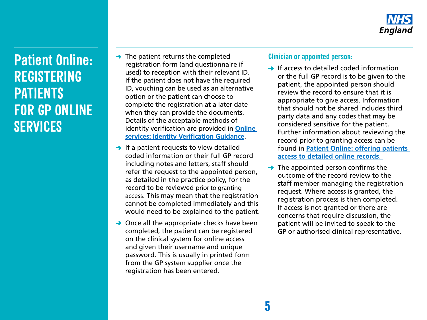

- $\rightarrow$  The patient returns the completed registration form (and questionnaire if used) to reception with their relevant ID. If the patient does not have the required ID, vouching can be used as an alternative option or the patient can choose to complete the registration at a later date when they can provide the documents. Details of the acceptable methods of identity verification are provided in **[Online](http://elearning.rcgp.org.uk/course/view.php?id=180§ion=1)  [services: Identity Verification Guidance](http://elearning.rcgp.org.uk/course/view.php?id=180§ion=1)**.
- $\rightarrow$  If a patient requests to view detailed coded information or their full GP record including notes and letters, staff should refer the request to the appointed person, as detailed in the practice policy, for the record to be reviewed prior to granting access. This may mean that the registration cannot be completed immediately and this would need to be explained to the patient.
- $\rightarrow$  Once all the appropriate checks have been completed, the patient can be registered on the clinical system for online access and given their username and unique password. This is usually in printed form from the GP system supplier once the registration has been entered.

#### **Clinician or appointed person:**

- $\rightarrow$  If access to detailed coded information or the full GP record is to be given to the patient, the appointed person should review the record to ensure that it is appropriate to give access. Information that should not be shared includes third party data and any codes that may be considered sensitive for the patient. Further information about reviewing the record prior to granting access can be found in **[Patient Online: offering patients](https://www.england.nhs.uk/wp-content/uploads/2015/11/po-offering-patient-access-detailed-online-records.pdf)  [access to detailed online records](https://www.england.nhs.uk/wp-content/uploads/2015/11/po-offering-patient-access-detailed-online-records.pdf)**.
- $\rightarrow$  The appointed person confirms the outcome of the record review to the staff member managing the registration request. Where access is granted, the registration process is then completed. If access is not granted or there are concerns that require discussion, the patient will be invited to speak to the GP or authorised clinical representative.